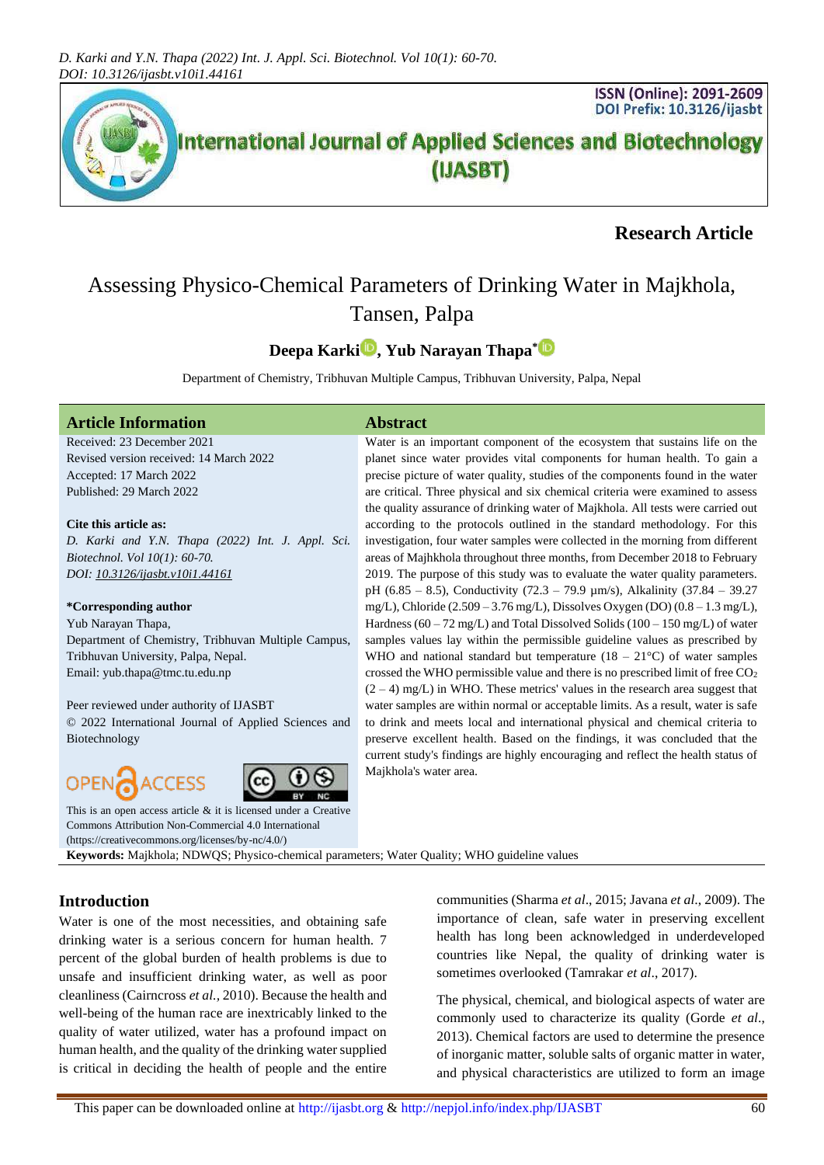

# **Research Article**

# Assessing Physico-Chemical Parameters of Drinking Water in Majkhola, Tansen, Palpa

# **Deepa Karki [,](https://orcid.org/0000-0003-0629-0355) Yub Narayan Thapa\***

Department of Chemistry, Tribhuvan Multiple Campus, Tribhuvan University, Palpa, Nepal

Majkhola's water area.

## **Article Information Abstract**

Received: 23 December 2021 Revised version received: 14 March 2022 Accepted: 17 March 2022 Published: 29 March 2022

#### **Cite this article as:**

*D. Karki and Y.N. Thapa (2022) Int. J. Appl. Sci. Biotechnol. Vol 10(1): 60-70. DOI: [10.3126/ijasbt.v10i1.44161](https://doi.org/10.3126/ijasbt.v10i1.44161)*

#### **\*Corresponding author**

Yub Narayan Thapa,

Department of Chemistry, Tribhuvan Multiple Campus, Tribhuvan University, Palpa, Nepal. Email: yub.thapa@tmc.tu.edu.np

Peer reviewed under authority of IJASBT © 2022 International Journal of Applied Sciences and Biotechnology



This is an open access article & it is licensed under a [Creative](https://creativecommons.org/licenses/by-nc/4.0/)  [Commons Attribution Non-Commercial 4.0 International](https://creativecommons.org/licenses/by-nc/4.0/)

[\(https://creativecommons.org/licenses/by-nc/4.0/\)](https://creativecommons.org/licenses/by-nc/4.0/)

CESS

**Keywords:** Majkhola; NDWQS; Physico-chemical parameters; Water Quality; WHO guideline values

# **Introduction**

OPEN

Water is one of the most necessities, and obtaining safe drinking water is a serious concern for human health. 7 percent of the global burden of health problems is due to unsafe and insufficient drinking water, as well as poor cleanliness (Cairncross *et al.,* 2010). Because the health and well-being of the human race are inextricably linked to the quality of water utilized, water has a profound impact on human health, and the quality of the drinking water supplied is critical in deciding the health of people and the entire

communities (Sharma *et al*., 2015; Javana *et al*., 2009). The importance of clean, safe water in preserving excellent health has long been acknowledged in underdeveloped countries like Nepal, the quality of drinking water is sometimes overlooked (Tamrakar *et al*., 2017).

Water is an important component of the ecosystem that sustains life on the planet since water provides vital components for human health. To gain a precise picture of water quality, studies of the components found in the water are critical. Three physical and six chemical criteria were examined to assess the quality assurance of drinking water of Majkhola. All tests were carried out according to the protocols outlined in the standard methodology. For this investigation, four water samples were collected in the morning from different areas of Majhkhola throughout three months, from December 2018 to February 2019. The purpose of this study was to evaluate the water quality parameters. pH (6.85 – 8.5), Conductivity (72.3 – 79.9 µm/s), Alkalinity (37.84 – 39.27 mg/L), Chloride (2.509 – 3.76 mg/L), Dissolves Oxygen (DO) (0.8 – 1.3 mg/L), Hardness ( $60 - 72$  mg/L) and Total Dissolved Solids ( $100 - 150$  mg/L) of water samples values lay within the permissible guideline values as prescribed by WHO and national standard but temperature  $(18 - 21^{\circ}C)$  of water samples crossed the WHO permissible value and there is no prescribed limit of free CO<sup>2</sup>  $(2 – 4)$  mg/L) in WHO. These metrics' values in the research area suggest that water samples are within normal or acceptable limits. As a result, water is safe to drink and meets local and international physical and chemical criteria to preserve excellent health. Based on the findings, it was concluded that the current study's findings are highly encouraging and reflect the health status of

> The physical, chemical, and biological aspects of water are commonly used to characterize its quality (Gorde *et al*., 2013). Chemical factors are used to determine the presence of inorganic matter, soluble salts of organic matter in water, and physical characteristics are utilized to form an image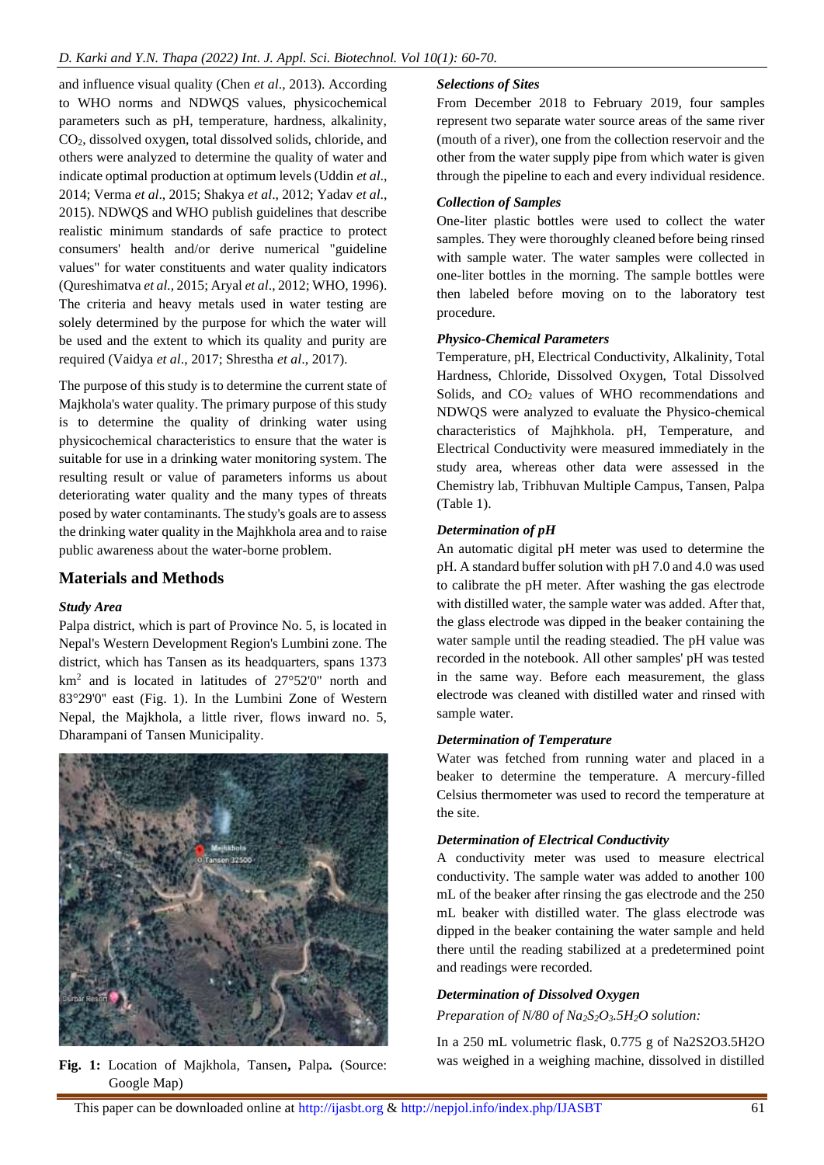and influence visual quality (Chen *et al*., 2013). According to WHO norms and NDWQS values, physicochemical parameters such as pH, temperature, hardness, alkalinity, CO2, dissolved oxygen, total dissolved solids, chloride, and others were analyzed to determine the quality of water and indicate optimal production at optimum levels (Uddin *et al*., 2014; Verma *et al*., 2015; Shakya *et al*., 2012; Yadav *et al*., 2015). NDWQS and WHO publish guidelines that describe realistic minimum standards of safe practice to protect consumers' health and/or derive numerical "guideline values" for water constituents and water quality indicators (Qureshimatva *et al.,* 2015; Aryal *et al*., 2012; WHO, 1996). The criteria and heavy metals used in water testing are solely determined by the purpose for which the water will be used and the extent to which its quality and purity are required (Vaidya *et al*., 2017; Shrestha *et al*., 2017).

The purpose of this study is to determine the current state of Majkhola's water quality. The primary purpose of this study is to determine the quality of drinking water using physicochemical characteristics to ensure that the water is suitable for use in a drinking water monitoring system. The resulting result or value of parameters informs us about deteriorating water quality and the many types of threats posed by water contaminants. The study's goals are to assess the drinking water quality in the Majhkhola area and to raise public awareness about the water-borne problem.

# **Materials and Methods**

# *Study Area*

Palpa district, which is part of Province No. 5, is located in Nepal's Western Development Region's Lumbini zone. The district, which has Tansen as its headquarters, spans 1373 km<sup>2</sup> and is located in latitudes of 27°52'0'' north and 83°29'0'' east (Fig. 1). In the Lumbini Zone of Western Nepal, the Majkhola, a little river, flows inward no. 5, Dharampani of Tansen Municipality.



**Fig. 1:** Location of Majkhola, Tansen**,** Palpa*.* (Source: Google Map)

# *Selections of Sites*

From December 2018 to February 2019, four samples represent two separate water source areas of the same river (mouth of a river), one from the collection reservoir and the other from the water supply pipe from which water is given through the pipeline to each and every individual residence.

# *Collection of Samples*

One-liter plastic bottles were used to collect the water samples. They were thoroughly cleaned before being rinsed with sample water. The water samples were collected in one-liter bottles in the morning. The sample bottles were then labeled before moving on to the laboratory test procedure.

# *Physico-Chemical Parameters*

Temperature, pH, Electrical Conductivity, Alkalinity, Total Hardness, Chloride, Dissolved Oxygen, Total Dissolved Solids, and CO<sub>2</sub> values of WHO recommendations and NDWQS were analyzed to evaluate the Physico-chemical characteristics of Majhkhola. pH, Temperature, and Electrical Conductivity were measured immediately in the study area, whereas other data were assessed in the Chemistry lab, Tribhuvan Multiple Campus, Tansen, Palpa (Table 1).

# *Determination of pH*

An automatic digital pH meter was used to determine the pH. A standard buffer solution with pH 7.0 and 4.0 was used to calibrate the pH meter. After washing the gas electrode with distilled water, the sample water was added. After that, the glass electrode was dipped in the beaker containing the water sample until the reading steadied. The pH value was recorded in the notebook. All other samples' pH was tested in the same way. Before each measurement, the glass electrode was cleaned with distilled water and rinsed with sample water.

# *Determination of Temperature*

Water was fetched from running water and placed in a beaker to determine the temperature. A mercury-filled Celsius thermometer was used to record the temperature at the site.

# *Determination of Electrical Conductivity*

A conductivity meter was used to measure electrical conductivity. The sample water was added to another 100 mL of the beaker after rinsing the gas electrode and the 250 mL beaker with distilled water. The glass electrode was dipped in the beaker containing the water sample and held there until the reading stabilized at a predetermined point and readings were recorded.

# *Determination of Dissolved Oxygen*

*Preparation of N/80 of Na2S2O3.5H2O solution:* 

In a 250 mL volumetric flask, 0.775 g of Na2S2O3.5H2O was weighed in a weighing machine, dissolved in distilled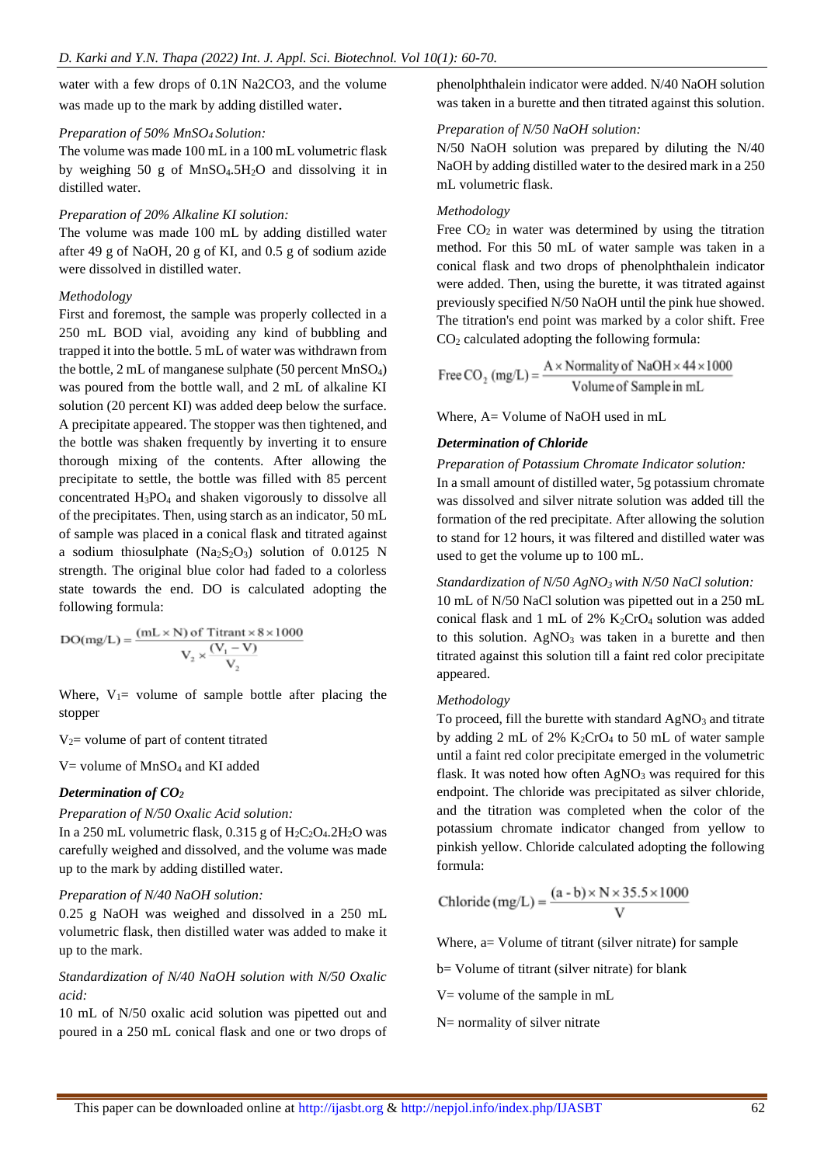water with a few drops of 0.1N Na2CO3, and the volume was made up to the mark by adding distilled water.

#### *Preparation of 50% MnSO4 Solution:*

The volume was made 100 mL in a 100 mL volumetric flask by weighing 50 g of MnSO4.5H2O and dissolving it in distilled water.

## *Preparation of 20% Alkaline KI solution:*

The volume was made 100 mL by adding distilled water after 49 g of NaOH, 20 g of KI, and 0.5 g of sodium azide were dissolved in distilled water.

## *Methodology*

First and foremost, the sample was properly collected in a 250 mL BOD vial, avoiding any kind of bubbling and trapped it into the bottle. 5 mL of water was withdrawn from the bottle, 2 mL of manganese sulphate (50 percent MnSO4) was poured from the bottle wall, and 2 mL of alkaline KI solution (20 percent KI) was added deep below the surface. A precipitate appeared. The stopper was then tightened, and the bottle was shaken frequently by inverting it to ensure thorough mixing of the contents. After allowing the precipitate to settle, the bottle was filled with 85 percent concentrated H3PO<sup>4</sup> and shaken vigorously to dissolve all of the precipitates. Then, using starch as an indicator, 50 mL of sample was placed in a conical flask and titrated against a sodium thiosulphate  $(Na<sub>2</sub>S<sub>2</sub>O<sub>3</sub>)$  solution of 0.0125 N strength. The original blue color had faded to a colorless state towards the end. DO is calculated adopting the following formula:

 $DO(mg/L) = \frac{(mL \times N) \text{ of Titrant} \times 8 \times 1000}{V_2 \times \frac{(V_1 - V)}{V_2}}$ 

Where,  $V_1$ = volume of sample bottle after placing the stopper

 $V_2$  volume of part of content titrated

 $V =$  volume of MnSO<sub>4</sub> and KI added

# *Determination of CO<sup>2</sup>*

*Preparation of N/50 Oxalic Acid solution:* In a 250 mL volumetric flask,  $0.315$  g of  $H_2C_2O_4.2H_2O$  was

carefully weighed and dissolved, and the volume was made up to the mark by adding distilled water.

## *Preparation of N/40 NaOH solution:*

0.25 g NaOH was weighed and dissolved in a 250 mL volumetric flask, then distilled water was added to make it up to the mark.

*Standardization of N/40 NaOH solution with N/50 Oxalic acid:*

10 mL of N/50 oxalic acid solution was pipetted out and poured in a 250 mL conical flask and one or two drops of phenolphthalein indicator were added. N/40 NaOH solution was taken in a burette and then titrated against this solution.

# *Preparation of N/50 NaOH solution:*

N/50 NaOH solution was prepared by diluting the N/40 NaOH by adding distilled water to the desired mark in a 250 mL volumetric flask.

# *Methodology*

Free  $CO<sub>2</sub>$  in water was determined by using the titration method. For this 50 mL of water sample was taken in a conical flask and two drops of phenolphthalein indicator were added. Then, using the burette, it was titrated against previously specified N/50 NaOH until the pink hue showed. The titration's end point was marked by a color shift. Free CO<sup>2</sup> calculated adopting the following formula:

Free CO<sub>2</sub> (mg/L) =  $\frac{A \times \text{Normally of NaOH} \times 44 \times 1000}{\text{Volume of Sample in mL}}$ 

Where, A= Volume of NaOH used in mL

# *Determination of Chloride*

*Preparation of Potassium Chromate Indicator solution:* In a small amount of distilled water, 5g potassium chromate was dissolved and silver nitrate solution was added till the formation of the red precipitate. After allowing the solution to stand for 12 hours, it was filtered and distilled water was used to get the volume up to 100 mL.

*Standardization of N/50 AgNO3 with N/50 NaCl solution:*

10 mL of N/50 NaCl solution was pipetted out in a 250 mL conical flask and 1 mL of 2%  $K_2CrO_4$  solution was added to this solution.  $AgNO<sub>3</sub>$  was taken in a burette and then titrated against this solution till a faint red color precipitate appeared.

## *Methodology*

To proceed, fill the burette with standard  $AgNO<sub>3</sub>$  and titrate by adding 2 mL of 2%  $K_2$ CrO<sub>4</sub> to 50 mL of water sample until a faint red color precipitate emerged in the volumetric flask. It was noted how often  $AgNO<sub>3</sub>$  was required for this endpoint. The chloride was precipitated as silver chloride, and the titration was completed when the color of the potassium chromate indicator changed from yellow to pinkish yellow. Chloride calculated adopting the following formula:

$$
Chloride (mg/L) = \frac{(a - b) \times N \times 35.5 \times 1000}{V}
$$

Where, a= Volume of titrant (silver nitrate) for sample

b= Volume of titrant (silver nitrate) for blank

 $V =$  volume of the sample in mL

N= normality of silver nitrate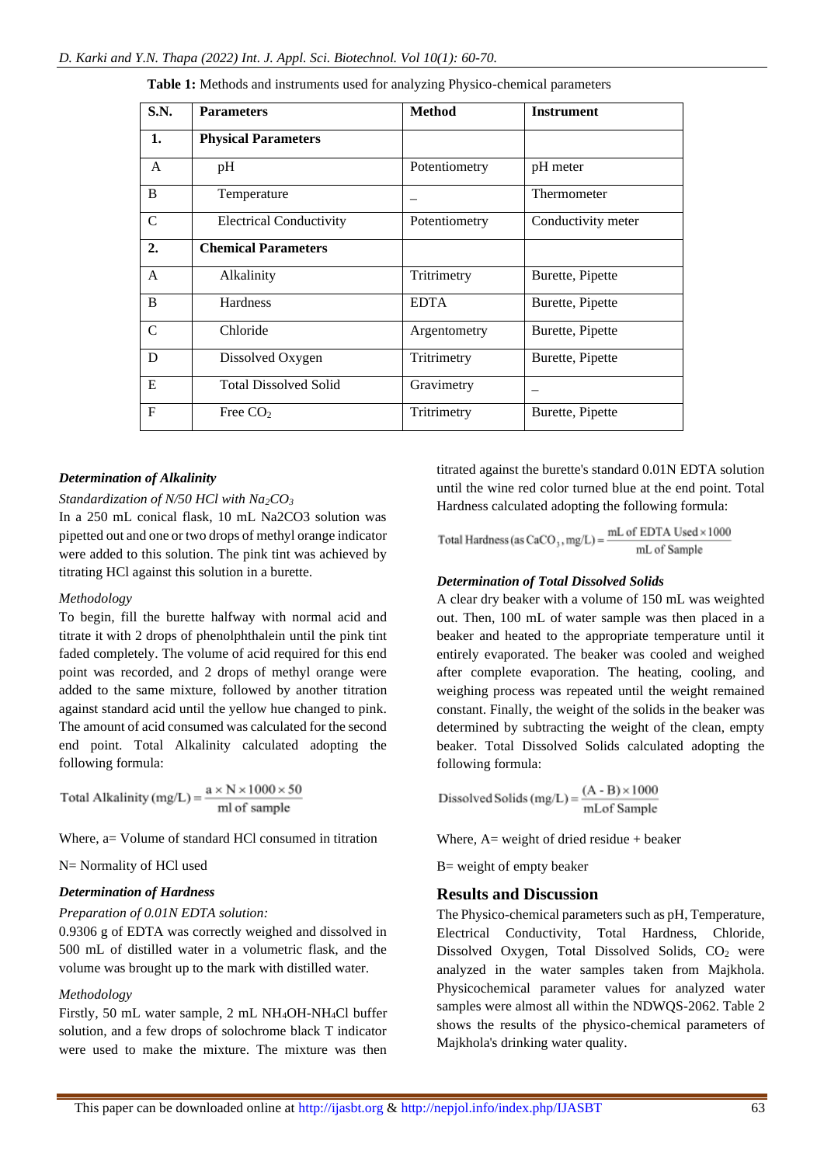| S.N.          | <b>Parameters</b>              | <b>Method</b> | <b>Instrument</b>  |
|---------------|--------------------------------|---------------|--------------------|
| 1.            | <b>Physical Parameters</b>     |               |                    |
| A             | pH                             | Potentiometry | pH meter           |
| B             | Temperature                    |               | Thermometer        |
| $\mathcal{C}$ | <b>Electrical Conductivity</b> | Potentiometry | Conductivity meter |
| 2.            | <b>Chemical Parameters</b>     |               |                    |
| A             | Alkalinity                     | Tritrimetry   | Burette, Pipette   |
| B             | Hardness                       | <b>EDTA</b>   | Burette, Pipette   |
| $\mathcal{C}$ | Chloride                       | Argentometry  | Burette, Pipette   |
| D             | Dissolved Oxygen               | Tritrimetry   | Burette, Pipette   |
| E             | <b>Total Dissolved Solid</b>   | Gravimetry    |                    |
| $\mathbf{F}$  | Free $CO2$                     | Tritrimetry   | Burette, Pipette   |

**Table 1:** Methods and instruments used for analyzing Physico-chemical parameters

#### *Determination of Alkalinity*

#### *Standardization of N/50 HCl with Na2CO<sup>3</sup>*

In a 250 mL conical flask, 10 mL Na2CO3 solution was pipetted out and one or two drops of methyl orange indicator were added to this solution. The pink tint was achieved by titrating HCl against this solution in a burette.

#### *Methodology*

To begin, fill the burette halfway with normal acid and titrate it with 2 drops of phenolphthalein until the pink tint faded completely. The volume of acid required for this end point was recorded, and 2 drops of methyl orange were added to the same mixture, followed by another titration against standard acid until the yellow hue changed to pink. The amount of acid consumed was calculated for the second end point. Total Alkalinity calculated adopting the following formula:

Total Alkalinity (mg/L) =  $\frac{a \times N \times 1000 \times 50}{m}$ 

Where, a volume of standard HCl consumed in titration

N= Normality of HCl used

#### *Determination of Hardness*

#### *Preparation of 0.01N EDTA solution:*

0.9306 g of EDTA was correctly weighed and dissolved in 500 mL of distilled water in a volumetric flask, and the volume was brought up to the mark with distilled water.

## *Methodology*

Firstly, 50 mL water sample, 2 mL NH4OH-NH4Cl buffer solution, and a few drops of solochrome black T indicator were used to make the mixture. The mixture was then

titrated against the burette's standard 0.01N EDTA solution until the wine red color turned blue at the end point. Total Hardness calculated adopting the following formula:

Total Hardness (as  $CaCO_3$ , mg/L) =  $\frac{mL \text{ of EDTA Used} \times 1000}{mL \text{ of Sample}}$ 

#### *Determination of Total Dissolved Solids*

A clear dry beaker with a volume of 150 mL was weighted out. Then, 100 mL of water sample was then placed in a beaker and heated to the appropriate temperature until it entirely evaporated. The beaker was cooled and weighed after complete evaporation. The heating, cooling, and weighing process was repeated until the weight remained constant. Finally, the weight of the solids in the beaker was determined by subtracting the weight of the clean, empty beaker. Total Dissolved Solids calculated adopting the following formula:

Dissolved Solids (mg/L) =  $\frac{(A - B) \times 1000}{mLof Sample}$ 

Where,  $A=$  weight of dried residue + beaker

B= weight of empty beaker

## **Results and Discussion**

The Physico-chemical parameters such as pH, Temperature, Electrical Conductivity, Total Hardness, Chloride, Dissolved Oxygen, Total Dissolved Solids,  $CO<sub>2</sub>$  were analyzed in the water samples taken from Majkhola. Physicochemical parameter values for analyzed water samples were almost all within the NDWQS-2062. Table 2 shows the results of the physico-chemical parameters of Majkhola's drinking water quality.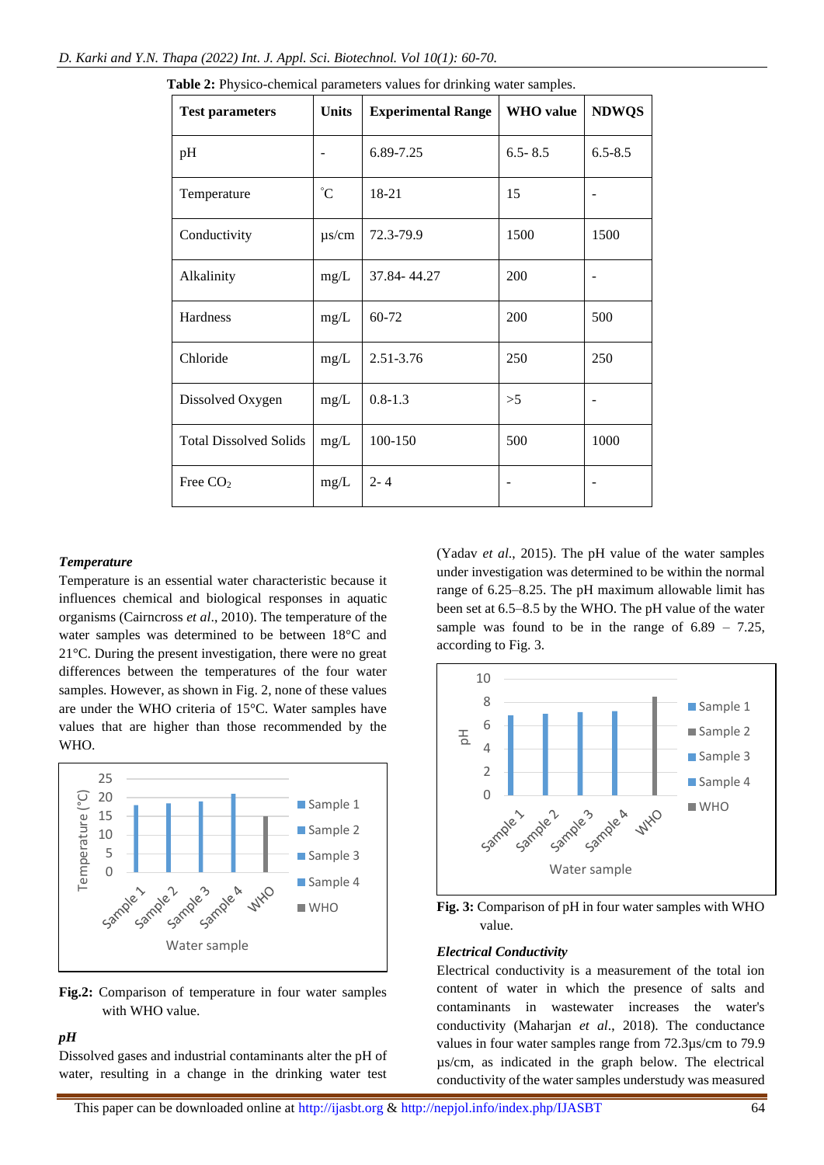| <b>Test parameters</b>        | <b>Units</b>    | <b>Experimental Range</b> | <b>WHO</b> value | <b>NDWQS</b> |
|-------------------------------|-----------------|---------------------------|------------------|--------------|
| pH                            |                 | 6.89-7.25                 | $6.5 - 8.5$      | $6.5 - 8.5$  |
| Temperature                   | $\rm ^{\circ}C$ | 18-21                     | 15               |              |
| Conductivity                  | $\mu$ s/cm      | 72.3-79.9                 | 1500             | 1500         |
| Alkalinity                    | mg/L            | 37.84-44.27               | 200              |              |
| Hardness                      | mg/L            | 60-72                     | 200              | 500          |
| Chloride                      | mg/L            | 2.51-3.76                 | 250              | 250          |
| Dissolved Oxygen              | mg/L            | $0.8 - 1.3$               | >5               |              |
| <b>Total Dissolved Solids</b> | mg/L            | 100-150                   | 500              | 1000         |
| Free CO <sub>2</sub>          | mg/L            | $2 - 4$                   |                  |              |

**Table 2:** Physico-chemical parameters values for drinking water samples*.*

#### *Temperature*

Temperature is an essential water characteristic because it influences chemical and biological responses in aquatic organisms (Cairncross *et al*., 2010). The temperature of the water samples was determined to be between 18°C and 21°C. During the present investigation, there were no great differences between the temperatures of the four water samples. However, as shown in Fig. 2, none of these values are under the WHO criteria of 15°C. Water samples have values that are higher than those recommended by the WHO.



**Fig.2:** Comparison of temperature in four water samples with WHO value.

# *pH*

Dissolved gases and industrial contaminants alter the pH of water, resulting in a change in the drinking water test (Yadav *et al*., 2015). The pH value of the water samples under investigation was determined to be within the normal range of 6.25–8.25. The pH maximum allowable limit has been set at 6.5–8.5 by the WHO. The pH value of the water sample was found to be in the range of  $6.89 - 7.25$ , according to Fig. 3.



**Fig. 3:** Comparison of pH in four water samples with WHO value.

## *Electrical Conductivity*

Electrical conductivity is a measurement of the total ion content of water in which the presence of salts and contaminants in wastewater increases the water's conductivity (Maharjan *et al*., 2018). The conductance values in four water samples range from 72.3µs/cm to 79.9 µs/cm, as indicated in the graph below. The electrical conductivity of the water samples understudy was measured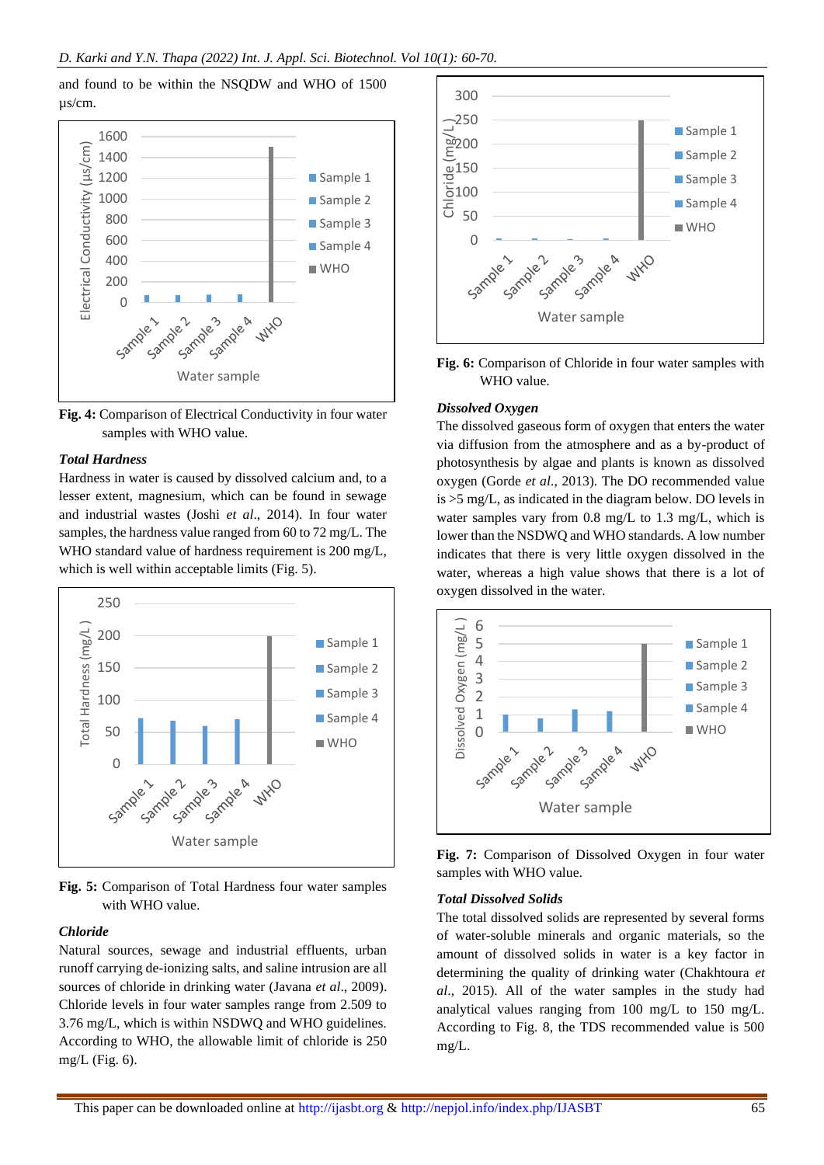and found to be within the NSQDW and WHO of 1500 µs/cm.



**Fig. 4:** Comparison of Electrical Conductivity in four water samples with WHO value.

#### *Total Hardness*

Hardness in water is caused by dissolved calcium and, to a lesser extent, magnesium, which can be found in sewage and industrial wastes (Joshi *et al*., 2014). In four water samples, the hardness value ranged from 60 to 72 mg/L. The WHO standard value of hardness requirement is 200 mg/L, which is well within acceptable limits (Fig. 5).



**Fig. 5:** Comparison of Total Hardness four water samples with WHO value.

## *Chloride*

Natural sources, sewage and industrial effluents, urban runoff carrying de-ionizing salts, and saline intrusion are all sources of chloride in drinking water (Javana *et al*., 2009). Chloride levels in four water samples range from 2.509 to 3.76 mg/L, which is within NSDWQ and WHO guidelines. According to WHO, the allowable limit of chloride is 250 mg/L (Fig.  $6$ ).



**Fig. 6:** Comparison of Chloride in four water samples with WHO value.

#### *Dissolved Oxygen*

The dissolved gaseous form of oxygen that enters the water via diffusion from the atmosphere and as a by-product of photosynthesis by algae and plants is known as dissolved oxygen (Gorde *et al*., 2013). The DO recommended value is >5 mg/L, as indicated in the diagram below. DO levels in water samples vary from 0.8 mg/L to 1.3 mg/L, which is lower than the NSDWQ and WHO standards. A low number indicates that there is very little oxygen dissolved in the water, whereas a high value shows that there is a lot of oxygen dissolved in the water.



**Fig. 7:** Comparison of Dissolved Oxygen in four water samples with WHO value.

### *Total Dissolved Solids*

The total dissolved solids are represented by several forms of water-soluble minerals and organic materials, so the amount of dissolved solids in water is a key factor in determining the quality of drinking water (Chakhtoura *et al*., 2015). All of the water samples in the study had analytical values ranging from 100 mg/L to 150 mg/L. According to Fig. 8, the TDS recommended value is 500 mg/L.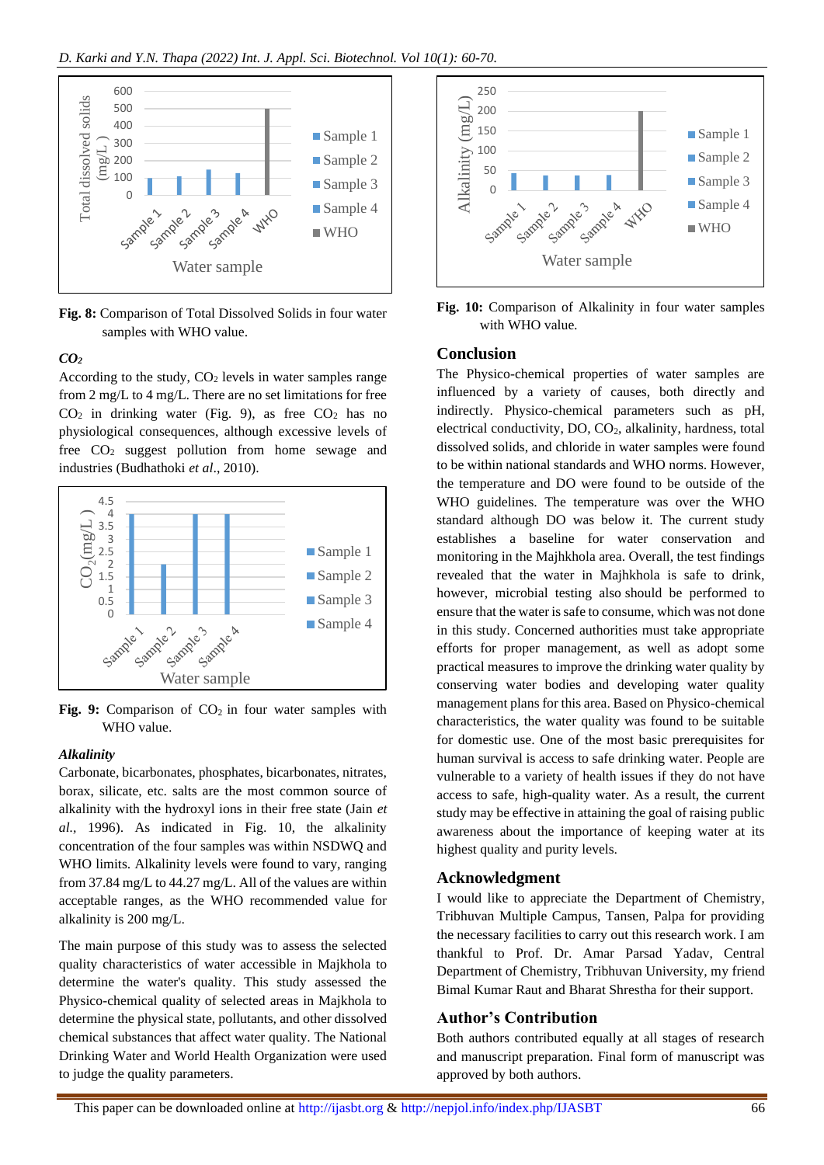

**Fig. 8:** Comparison of Total Dissolved Solids in four water samples with WHO value.

# *CO<sup>2</sup>*

According to the study,  $CO<sub>2</sub>$  levels in water samples range from 2 mg/L to 4 mg/L. There are no set limitations for free  $CO<sub>2</sub>$  in drinking water (Fig. 9), as free  $CO<sub>2</sub>$  has no physiological consequences, although excessive levels of free  $CO<sub>2</sub>$  suggest pollution from home sewage and industries (Budhathoki *et al*., 2010).



Fig. 9: Comparison of  $CO<sub>2</sub>$  in four water samples with WHO value.

## *Alkalinity*

Carbonate, bicarbonates, phosphates, bicarbonates, nitrates, borax, silicate, etc. salts are the most common source of alkalinity with the hydroxyl ions in their free state (Jain *et al.,* 1996). As indicated in Fig. 10, the alkalinity concentration of the four samples was within NSDWQ and WHO limits. Alkalinity levels were found to vary, ranging from 37.84 mg/L to 44.27 mg/L. All of the values are within acceptable ranges, as the WHO recommended value for alkalinity is 200 mg/L.

The main purpose of this study was to assess the selected quality characteristics of water accessible in Majkhola to determine the water's quality. This study assessed the Physico-chemical quality of selected areas in Majkhola to determine the physical state, pollutants, and other dissolved chemical substances that affect water quality. The National Drinking Water and World Health Organization were used to judge the quality parameters.



**Fig. 10:** Comparison of Alkalinity in four water samples with WHO value*.*

# **Conclusion**

The Physico-chemical properties of water samples are influenced by a variety of causes, both directly and indirectly. Physico-chemical parameters such as pH, electrical conductivity, DO, CO<sub>2</sub>, alkalinity, hardness, total dissolved solids, and chloride in water samples were found to be within national standards and WHO norms. However, the temperature and DO were found to be outside of the WHO guidelines. The temperature was over the WHO standard although DO was below it. The current study establishes a baseline for water conservation and monitoring in the Majhkhola area. Overall, the test findings revealed that the water in Majhkhola is safe to drink, however, microbial testing also should be performed to ensure that the water is safe to consume, which was not done in this study. Concerned authorities must take appropriate efforts for proper management, as well as adopt some practical measures to improve the drinking water quality by conserving water bodies and developing water quality management plans for this area. Based on Physico-chemical characteristics, the water quality was found to be suitable for domestic use. One of the most basic prerequisites for human survival is access to safe drinking water. People are vulnerable to a variety of health issues if they do not have access to safe, high-quality water. As a result, the current study may be effective in attaining the goal of raising public awareness about the importance of keeping water at its highest quality and purity levels.

## **Acknowledgment**

I would like to appreciate the Department of Chemistry, Tribhuvan Multiple Campus, Tansen, Palpa for providing the necessary facilities to carry out this research work. I am thankful to Prof. Dr. Amar Parsad Yadav, Central Department of Chemistry, Tribhuvan University, my friend Bimal Kumar Raut and Bharat Shrestha for their support.

# **Author's Contribution**

Both authors contributed equally at all stages of research and manuscript preparation. Final form of manuscript was approved by both authors.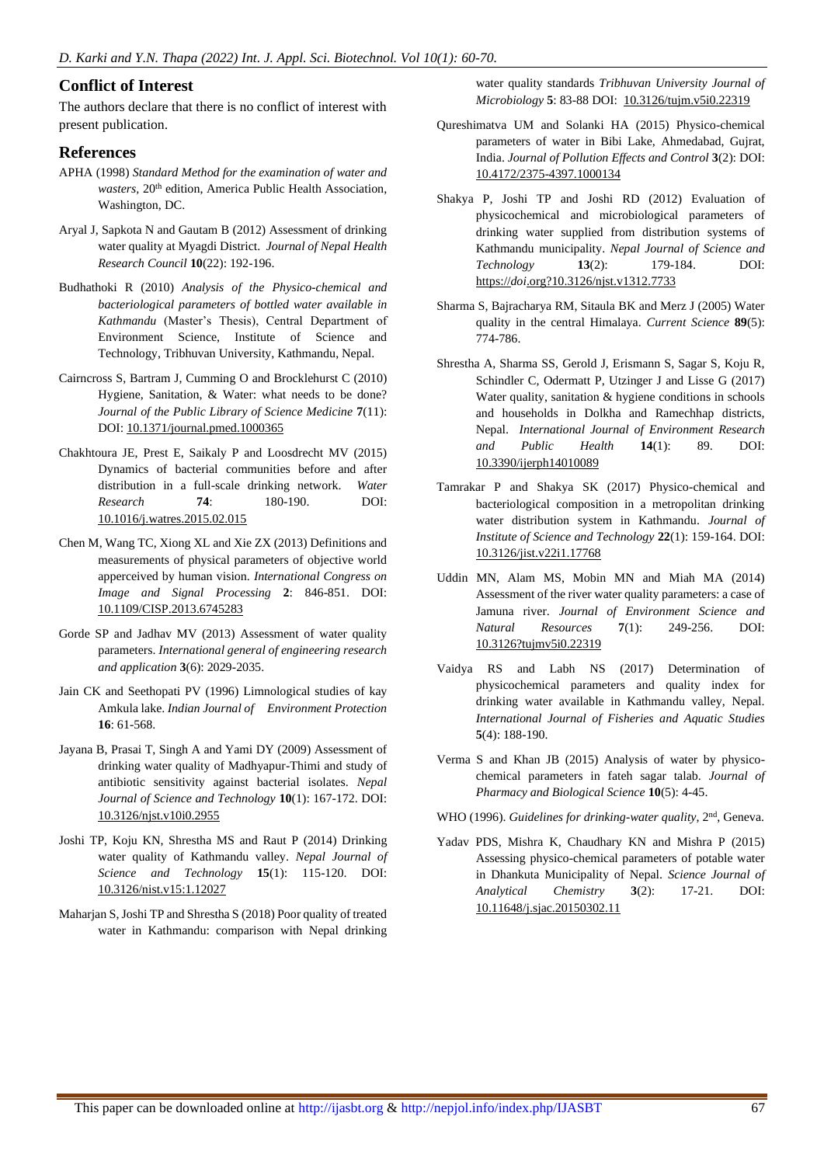# **Conflict of Interest**

The authors declare that there is no conflict of interest with present publication.

## **References**

- APHA (1998) *Standard Method for the examination of water and*  wasters, 20<sup>th</sup> edition, America Public Health Association, Washington, DC.
- Aryal J, Sapkota N and Gautam B (2012) Assessment of drinking water quality at Myagdi District. *Journal of Nepal Health Research Council* **10**(22): 192-196.
- Budhathoki R (2010) *Analysis of the Physico-chemical and bacteriological parameters of bottled water available in Kathmandu* (Master's Thesis), Central Department of Environment Science, Institute of Science and Technology, Tribhuvan University, Kathmandu, Nepal.
- Cairncross S, Bartram J, Cumming O and Brocklehurst C (2010) Hygiene, Sanitation, & Water: what needs to be done? *Journal of the Public Library of Science Medicine* **7**(11): DOI[: 10.1371/journal.pmed.1000365](https://doi.org/10.1371/journal.pmed.1000365)
- Chakhtoura JE, Prest E, Saikaly P and Loosdrecht MV (2015) Dynamics of bacterial communities before and after distribution in a full-scale drinking network. *Water Research* **74**: 180-190. DOI: [10.1016/j.watres.2015.02.015](https://doi.org/10.1016/j.watres.2015.02.015)
- Chen M, Wang TC, Xiong XL and Xie ZX (2013) Definitions and measurements of physical parameters of objective world apperceived by human vision. *International Congress on Image and Signal Processing* **2**: 846-851. DOI: [10.1109/CISP.2013.6745283](https://doi.org/10.1109/CISP.2013.6745283)
- Gorde SP and Jadhav MV (2013) Assessment of water quality parameters. *International general of engineering research and application* **3**(6): 2029-2035.
- Jain CK and Seethopati PV (1996) Limnological studies of kay Amkula lake. *Indian Journal of Environment Protection* **16**: 61-568.
- Jayana B, Prasai T, Singh A and Yami DY (2009) Assessment of drinking water quality of Madhyapur-Thimi and study of antibiotic sensitivity against bacterial isolates. *Nepal Journal of Science and Technology* **10**(1): 167-172. DOI: [10.3126/njst.v10i0.2955](https://doi.org/10.3126/njst.v10i0.2955)
- Joshi TP, Koju KN, Shrestha MS and Raut P (2014) Drinking water quality of Kathmandu valley. *Nepal Journal of Science and Technology* **15**(1): 115-120. DOI: [10.3126/nist.v15:1.12027](https://doi.org/10.3126/nist.v15:1.12027)
- Maharjan S, Joshi TP and Shrestha S (2018) Poor quality of treated water in Kathmandu: comparison with Nepal drinking

water quality standards *Tribhuvan University Journal of Microbiology* **5**: 83-88 DOI: [10.3126/tujm.v5i0.22319](https://doi.org/10.3126/tujm.v5i0.22319)

- Qureshimatva UM and Solanki HA (2015) Physico-chemical parameters of water in Bibi Lake, Ahmedabad, Gujrat, India. *Journal of Pollution Effects and Control* **3**(2): DOI: [10.4172/2375-4397.1000134](https://doi.org/10.4172/2375-4397.1000134)
- Shakya P, Joshi TP and Joshi RD (2012) Evaluation of physicochemical and microbiological parameters of drinking water supplied from distribution systems of Kathmandu municipality. *Nepal Journal of Science and Technology* **13**(2): 179-184. DOI: [https://](https://doi.org/?10.3126/njst.v1312.7733)*[doi](https://doi.org/?10.3126/njst.v1312.7733)*[.org?10.3126/njst.v1312.7733](https://doi.org/?10.3126/njst.v1312.7733)
- Sharma S, Bajracharya RM, Sitaula BK and Merz J (2005) Water quality in the central Himalaya. *Current Science* **89**(5): 774-786.
- Shrestha A, Sharma SS, Gerold J, Erismann S, Sagar S, Koju R, Schindler C, Odermatt P, Utzinger J and Lisse G (2017) Water quality, sanitation & hygiene conditions in schools and households in Dolkha and Ramechhap districts, Nepal. *International Journal of Environment Research and Public Health* **14**(1): 89. DOI: [10.3390/ijerph14010089](https://doi.org/10.3390/ijerph14010089)
- Tamrakar P and Shakya SK (2017) Physico-chemical and bacteriological composition in a metropolitan drinking water distribution system in Kathmandu. *Journal of Institute of Science and Technology* **22**(1): 159-164. DOI: [10.3126/jist.v22i1.17768](https://doi.org/10.3126/jist.v22i1.17768)
- Uddin MN, Alam MS, Mobin MN and Miah MA (2014) Assessment of the river water quality parameters: a case of Jamuna river. *Journal of Environment Science and Natural Resources* **7**(1): 249-256. DOI: [10.3126?tujmv5i0.22319](http://doi.org/10.3126?tujmv5i0.22319)
- Vaidya RS and Labh NS (2017) Determination of physicochemical parameters and quality index for drinking water available in Kathmandu valley, Nepal. *International Journal of Fisheries and Aquatic Studies* **5**(4): 188-190.
- Verma S and Khan JB (2015) Analysis of water by physicochemical parameters in fateh sagar talab. *Journal of Pharmacy and Biological Science* **10**(5): 4-45.
- WHO (1996). *Guidelines for drinking-water quality*, 2<sup>nd</sup>, Geneva.
- Yadav PDS, Mishra K, Chaudhary KN and Mishra P (2015) Assessing physico-chemical parameters of potable water in Dhankuta Municipality of Nepal. *Science Journal of Analytical Chemistry* **3**(2): 17-21. DOI: [10.11648/j.sjac.20150302.11](https://doi.org/10.11648/j.sjac.20150302.11)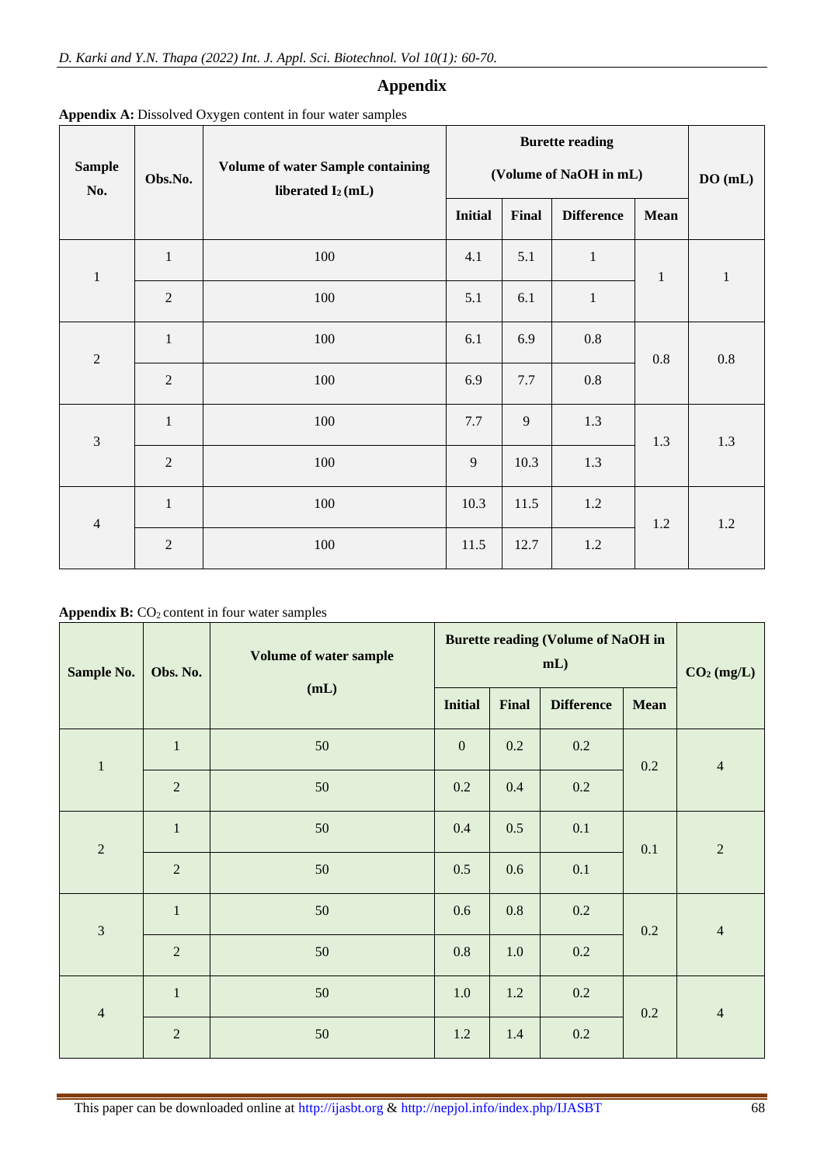# **Appendix**

|                      |                |                                                                           |                        | <b>Burette reading</b> |                   |              |         |  |
|----------------------|----------------|---------------------------------------------------------------------------|------------------------|------------------------|-------------------|--------------|---------|--|
| <b>Sample</b><br>No. | Obs.No.        | <b>Volume of water Sample containing</b><br>liberated I <sub>2</sub> (mL) | (Volume of NaOH in mL) | DO(mL)                 |                   |              |         |  |
|                      |                |                                                                           | <b>Initial</b>         | Final                  | <b>Difference</b> | Mean         |         |  |
| $\mathbf{1}$         | $\mathbf{1}$   | 100                                                                       | 4.1                    | 5.1                    | $\,1\,$           | $\mathbf{1}$ | $\,1\,$ |  |
|                      | $\overline{2}$ | 100                                                                       | 5.1                    | 6.1                    | $\,1\,$           |              |         |  |
| $\overline{2}$       | $\mathbf{1}$   | 100                                                                       | 6.1                    | 6.9                    | $0.8\,$           | $0.8\,$      | $0.8\,$ |  |
|                      | $\overline{2}$ | 100                                                                       | 6.9                    | 7.7                    | 0.8               |              |         |  |
| $\mathfrak{Z}$       | $\mathbf{1}$   | 100                                                                       | 7.7                    | 9                      | 1.3               | 1.3          | 1.3     |  |
|                      | $\overline{2}$ | 100                                                                       | $\overline{9}$         | 10.3                   | 1.3               |              |         |  |
| $\overline{4}$       | $\mathbf{1}$   | 100                                                                       | 10.3                   | 11.5                   | 1.2               | 1.2          | 1.2     |  |
|                      | $\overline{2}$ | 100                                                                       | 11.5                   | 12.7                   | 1.2               |              |         |  |

**Appendix A:** Dissolved Oxygen content in four water samples

Appendix B: CO<sub>2</sub> content in four water samples

| Sample No.     | Obs. No.       | Volume of water sample<br>(mL) | <b>Burette reading (Volume of NaOH in</b><br>mL) |              |                   |      | CO <sub>2</sub> (mg/L) |
|----------------|----------------|--------------------------------|--------------------------------------------------|--------------|-------------------|------|------------------------|
|                |                |                                | <b>Initial</b>                                   | <b>Final</b> | <b>Difference</b> | Mean |                        |
| $\,1\,$        | $\mathbf{1}$   | 50                             | $\boldsymbol{0}$                                 | 0.2          | 0.2               | 0.2  | $\overline{4}$         |
|                | $\overline{2}$ | 50                             | $0.2\,$                                          | $0.4\,$      | $0.2\,$           |      |                        |
| $\overline{2}$ | $\mathbf{1}$   | 50                             | $0.4\,$                                          | 0.5          | 0.1               | 0.1  | $\sqrt{2}$             |
|                | $\overline{2}$ | 50                             | 0.5                                              | 0.6          | 0.1               |      |                        |
| 3              | $\mathbf 1$    | 50                             | 0.6                                              | 0.8          | $0.2\,$           | 0.2  | $\overline{4}$         |
|                | $\overline{2}$ | 50                             | $0.8\,$                                          | $1.0\,$      | $0.2\,$           |      |                        |
| $\overline{4}$ | $\mathbf{1}$   | 50                             | $1.0\,$                                          | 1.2          | $0.2\,$           | 0.2  | $\overline{4}$         |
|                | $\overline{2}$ | 50                             | $1.2\,$                                          | 1.4          | $0.2\,$           |      |                        |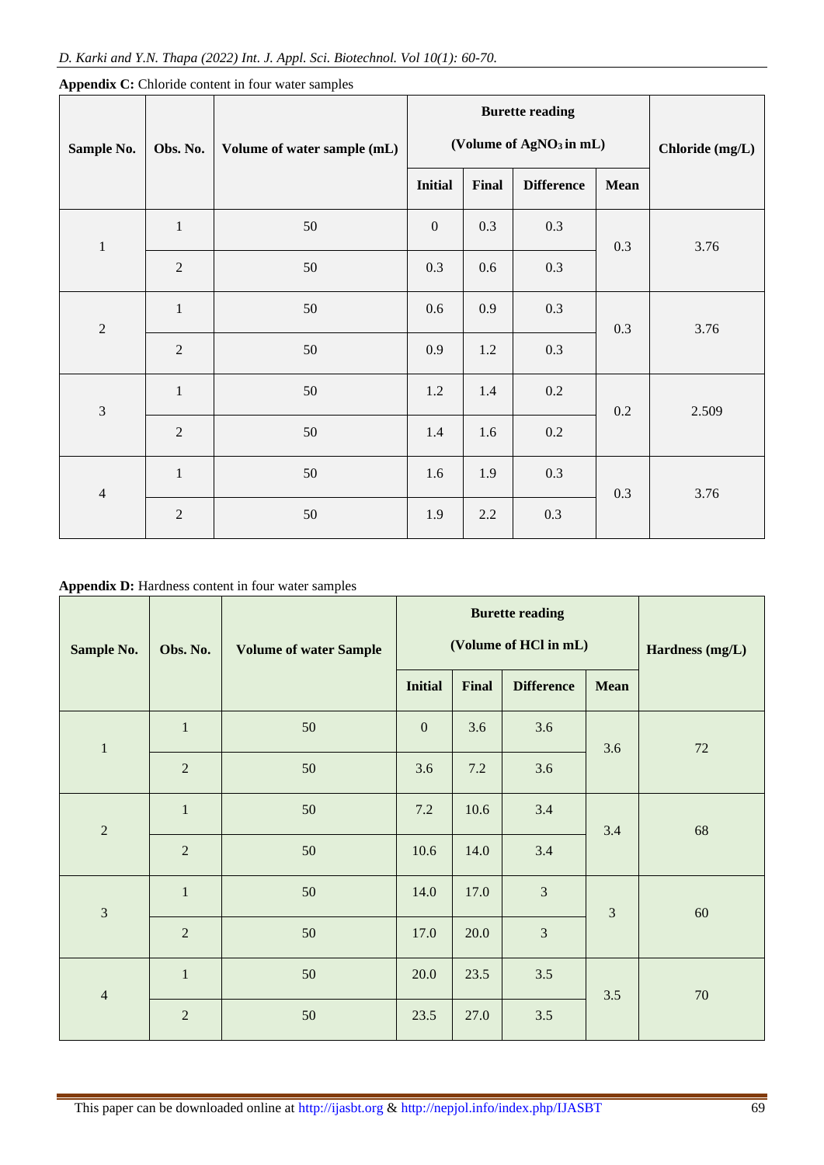|                |                |                             | <b>Burette reading</b>              |         |                   |      |                 |  |
|----------------|----------------|-----------------------------|-------------------------------------|---------|-------------------|------|-----------------|--|
| Sample No.     | Obs. No.       | Volume of water sample (mL) | (Volume of AgNO <sub>3</sub> in mL) |         |                   |      | Chloride (mg/L) |  |
|                |                |                             | <b>Initial</b>                      | Final   | <b>Difference</b> | Mean |                 |  |
| $\,1\,$        | $\mathbf{1}$   | 50                          | $\boldsymbol{0}$                    | 0.3     | 0.3               | 0.3  | 3.76            |  |
|                | $\overline{2}$ | 50                          | 0.3                                 | 0.6     | 0.3               |      |                 |  |
| $\sqrt{2}$     | $\mathbf{1}$   | $50\,$                      | 0.6                                 | 0.9     | 0.3               | 0.3  | 3.76            |  |
|                | $\overline{2}$ | 50                          | 0.9                                 | 1.2     | 0.3               |      |                 |  |
| $\overline{3}$ | $\mathbf{1}$   | 50                          | $1.2\,$                             | 1.4     | $0.2\,$           | 0.2  | 2.509           |  |
|                | $\overline{2}$ | 50                          | 1.4                                 | 1.6     | $0.2\,$           |      |                 |  |
| $\overline{4}$ | $\mathbf{1}$   | $50\,$                      | 1.6                                 | 1.9     | 0.3               | 0.3  | 3.76            |  |
|                | $\overline{2}$ | $50\,$                      | 1.9                                 | $2.2\,$ | 0.3               |      |                 |  |

**Appendix C:** Chloride content in four water samples

**Appendix D:** Hardness content in four water samples

| Sample No.     | Obs. No.       | <b>Volume of water Sample</b> | <b>Burette reading</b><br>(Volume of HCl in mL) |       |                   |                | Hardness (mg/L) |  |
|----------------|----------------|-------------------------------|-------------------------------------------------|-------|-------------------|----------------|-----------------|--|
|                |                |                               | <b>Initial</b>                                  | Final | <b>Difference</b> | Mean           |                 |  |
| $\mathbf{1}$   | $\mathbf{1}$   | 50                            | $\boldsymbol{0}$                                | 3.6   | 3.6               | 3.6            | 72              |  |
|                | $\sqrt{2}$     | 50                            | 3.6                                             | 7.2   | 3.6               |                |                 |  |
| $\overline{2}$ | $\,1\,$        | 50                            | 7.2                                             | 10.6  | 3.4               | 3.4            | 68              |  |
|                | $\overline{2}$ | 50                            | 10.6                                            | 14.0  | 3.4               |                |                 |  |
| $\overline{3}$ | $\mathbf{1}$   | 50                            | 14.0                                            | 17.0  | $\overline{3}$    | $\mathfrak{Z}$ | 60              |  |
|                | $\overline{2}$ | 50                            | 17.0                                            | 20.0  | $\overline{3}$    |                |                 |  |
| $\overline{4}$ | $\,1\,$        | 50                            | 20.0                                            | 23.5  | $3.5$             | 3.5            | $70\,$          |  |
|                | $\overline{2}$ | 50                            | 23.5                                            | 27.0  | 3.5               |                |                 |  |